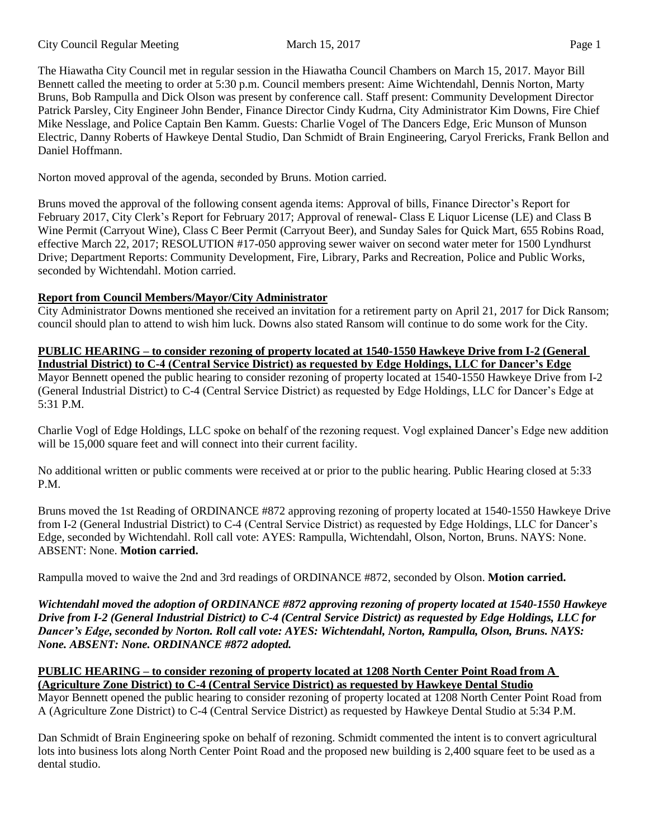The Hiawatha City Council met in regular session in the Hiawatha Council Chambers on March 15, 2017. Mayor Bill Bennett called the meeting to order at 5:30 p.m. Council members present: Aime Wichtendahl, Dennis Norton, Marty Bruns, Bob Rampulla and Dick Olson was present by conference call. Staff present: Community Development Director Patrick Parsley, City Engineer John Bender, Finance Director Cindy Kudrna, City Administrator Kim Downs, Fire Chief Mike Nesslage, and Police Captain Ben Kamm. Guests: Charlie Vogel of The Dancers Edge, Eric Munson of Munson Electric, Danny Roberts of Hawkeye Dental Studio, Dan Schmidt of Brain Engineering, Caryol Frericks, Frank Bellon and Daniel Hoffmann.

Norton moved approval of the agenda, seconded by Bruns. Motion carried.

Bruns moved the approval of the following consent agenda items: Approval of bills, Finance Director's Report for February 2017, City Clerk's Report for February 2017; Approval of renewal- Class E Liquor License (LE) and Class B Wine Permit (Carryout Wine), Class C Beer Permit (Carryout Beer), and Sunday Sales for Quick Mart, 655 Robins Road, effective March 22, 2017; RESOLUTION #17-050 approving sewer waiver on second water meter for 1500 Lyndhurst Drive; Department Reports: Community Development, Fire, Library, Parks and Recreation, Police and Public Works, seconded by Wichtendahl. Motion carried.

# **Report from Council Members/Mayor/City Administrator**

City Administrator Downs mentioned she received an invitation for a retirement party on April 21, 2017 for Dick Ransom; council should plan to attend to wish him luck. Downs also stated Ransom will continue to do some work for the City.

**PUBLIC HEARING – to consider rezoning of property located at 1540-1550 Hawkeye Drive from I-2 (General Industrial District) to C-4 (Central Service District) as requested by Edge Holdings, LLC for Dancer's Edge** Mayor Bennett opened the public hearing to consider rezoning of property located at 1540-1550 Hawkeye Drive from I-2 (General Industrial District) to C-4 (Central Service District) as requested by Edge Holdings, LLC for Dancer's Edge at 5:31 P.M.

Charlie Vogl of Edge Holdings, LLC spoke on behalf of the rezoning request. Vogl explained Dancer's Edge new addition will be 15,000 square feet and will connect into their current facility.

No additional written or public comments were received at or prior to the public hearing. Public Hearing closed at 5:33 P.M.

Bruns moved the 1st Reading of ORDINANCE #872 approving rezoning of property located at 1540-1550 Hawkeye Drive from I-2 (General Industrial District) to C-4 (Central Service District) as requested by Edge Holdings, LLC for Dancer's Edge, seconded by Wichtendahl. Roll call vote: AYES: Rampulla, Wichtendahl, Olson, Norton, Bruns. NAYS: None. ABSENT: None. **Motion carried.** 

Rampulla moved to waive the 2nd and 3rd readings of ORDINANCE #872, seconded by Olson. **Motion carried.**

*Wichtendahl moved the adoption of ORDINANCE #872 approving rezoning of property located at 1540-1550 Hawkeye Drive from I-2 (General Industrial District) to C-4 (Central Service District) as requested by Edge Holdings, LLC for Dancer's Edge, seconded by Norton. Roll call vote: AYES: Wichtendahl, Norton, Rampulla, Olson, Bruns. NAYS: None. ABSENT: None. ORDINANCE #872 adopted.* 

## **PUBLIC HEARING – to consider rezoning of property located at 1208 North Center Point Road from A (Agriculture Zone District) to C-4 (Central Service District) as requested by Hawkeye Dental Studio**

Mayor Bennett opened the public hearing to consider rezoning of property located at 1208 North Center Point Road from A (Agriculture Zone District) to C-4 (Central Service District) as requested by Hawkeye Dental Studio at 5:34 P.M.

Dan Schmidt of Brain Engineering spoke on behalf of rezoning. Schmidt commented the intent is to convert agricultural lots into business lots along North Center Point Road and the proposed new building is 2,400 square feet to be used as a dental studio.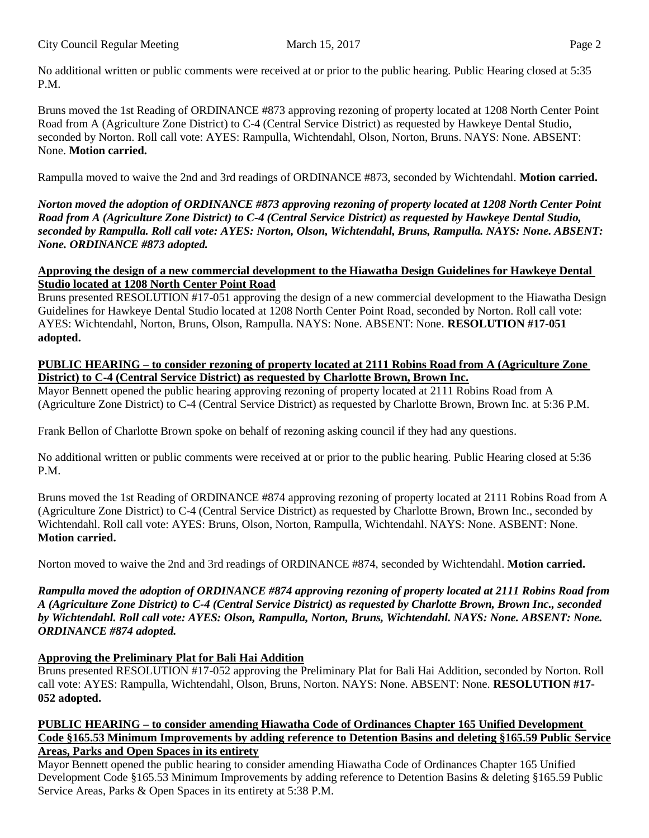No additional written or public comments were received at or prior to the public hearing. Public Hearing closed at 5:35 P.M.

Bruns moved the 1st Reading of ORDINANCE #873 approving rezoning of property located at 1208 North Center Point Road from A (Agriculture Zone District) to C-4 (Central Service District) as requested by Hawkeye Dental Studio, seconded by Norton. Roll call vote: AYES: Rampulla, Wichtendahl, Olson, Norton, Bruns. NAYS: None. ABSENT: None. **Motion carried.** 

Rampulla moved to waive the 2nd and 3rd readings of ORDINANCE #873, seconded by Wichtendahl. **Motion carried.** 

*Norton moved the adoption of ORDINANCE #873 approving rezoning of property located at 1208 North Center Point Road from A (Agriculture Zone District) to C-4 (Central Service District) as requested by Hawkeye Dental Studio, seconded by Rampulla. Roll call vote: AYES: Norton, Olson, Wichtendahl, Bruns, Rampulla. NAYS: None. ABSENT: None. ORDINANCE #873 adopted.* 

### **Approving the design of a new commercial development to the Hiawatha Design Guidelines for Hawkeye Dental Studio located at 1208 North Center Point Road**

Bruns presented RESOLUTION #17-051 approving the design of a new commercial development to the Hiawatha Design Guidelines for Hawkeye Dental Studio located at 1208 North Center Point Road, seconded by Norton. Roll call vote: AYES: Wichtendahl, Norton, Bruns, Olson, Rampulla. NAYS: None. ABSENT: None. **RESOLUTION #17-051 adopted.**

## **PUBLIC HEARING – to consider rezoning of property located at 2111 Robins Road from A (Agriculture Zone District) to C-4 (Central Service District) as requested by Charlotte Brown, Brown Inc.**

Mayor Bennett opened the public hearing approving rezoning of property located at 2111 Robins Road from A (Agriculture Zone District) to C-4 (Central Service District) as requested by Charlotte Brown, Brown Inc. at 5:36 P.M.

Frank Bellon of Charlotte Brown spoke on behalf of rezoning asking council if they had any questions.

No additional written or public comments were received at or prior to the public hearing. Public Hearing closed at 5:36 P<sub>M</sub>

Bruns moved the 1st Reading of ORDINANCE #874 approving rezoning of property located at 2111 Robins Road from A (Agriculture Zone District) to C-4 (Central Service District) as requested by Charlotte Brown, Brown Inc., seconded by Wichtendahl. Roll call vote: AYES: Bruns, Olson, Norton, Rampulla, Wichtendahl. NAYS: None. ASBENT: None. **Motion carried.** 

Norton moved to waive the 2nd and 3rd readings of ORDINANCE #874, seconded by Wichtendahl. **Motion carried.** 

*Rampulla moved the adoption of ORDINANCE #874 approving rezoning of property located at 2111 Robins Road from A (Agriculture Zone District) to C-4 (Central Service District) as requested by Charlotte Brown, Brown Inc., seconded by Wichtendahl. Roll call vote: AYES: Olson, Rampulla, Norton, Bruns, Wichtendahl. NAYS: None. ABSENT: None. ORDINANCE #874 adopted.* 

# **Approving the Preliminary Plat for Bali Hai Addition**

Bruns presented RESOLUTION #17-052 approving the Preliminary Plat for Bali Hai Addition, seconded by Norton. Roll call vote: AYES: Rampulla, Wichtendahl, Olson, Bruns, Norton. NAYS: None. ABSENT: None. **RESOLUTION #17- 052 adopted.** 

## **PUBLIC HEARING – to consider amending Hiawatha Code of Ordinances Chapter 165 Unified Development Code §165.53 Minimum Improvements by adding reference to Detention Basins and deleting §165.59 Public Service Areas, Parks and Open Spaces in its entirety**

Mayor Bennett opened the public hearing to consider amending Hiawatha Code of Ordinances Chapter 165 Unified Development Code §165.53 Minimum Improvements by adding reference to Detention Basins & deleting §165.59 Public Service Areas, Parks & Open Spaces in its entirety at 5:38 P.M.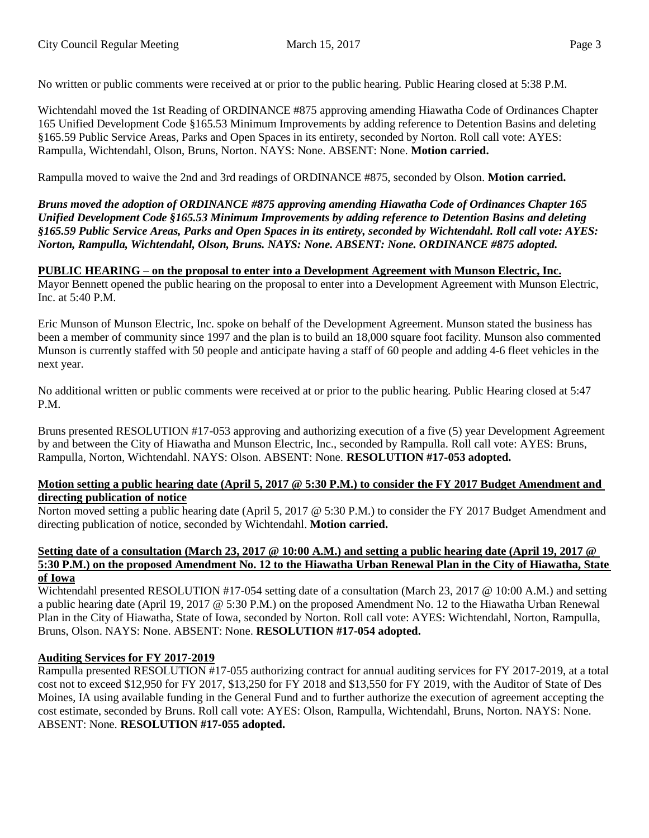No written or public comments were received at or prior to the public hearing. Public Hearing closed at 5:38 P.M.

Wichtendahl moved the 1st Reading of ORDINANCE #875 approving amending Hiawatha Code of Ordinances Chapter 165 Unified Development Code §165.53 Minimum Improvements by adding reference to Detention Basins and deleting §165.59 Public Service Areas, Parks and Open Spaces in its entirety, seconded by Norton. Roll call vote: AYES: Rampulla, Wichtendahl, Olson, Bruns, Norton. NAYS: None. ABSENT: None. **Motion carried.** 

Rampulla moved to waive the 2nd and 3rd readings of ORDINANCE #875, seconded by Olson. **Motion carried.** 

*Bruns moved the adoption of ORDINANCE #875 approving amending Hiawatha Code of Ordinances Chapter 165 Unified Development Code §165.53 Minimum Improvements by adding reference to Detention Basins and deleting §165.59 Public Service Areas, Parks and Open Spaces in its entirety, seconded by Wichtendahl. Roll call vote: AYES: Norton, Rampulla, Wichtendahl, Olson, Bruns. NAYS: None. ABSENT: None. ORDINANCE #875 adopted.* 

**PUBLIC HEARING – on the proposal to enter into a Development Agreement with Munson Electric, Inc.** Mayor Bennett opened the public hearing on the proposal to enter into a Development Agreement with Munson Electric, Inc. at 5:40 P.M.

Eric Munson of Munson Electric, Inc. spoke on behalf of the Development Agreement. Munson stated the business has been a member of community since 1997 and the plan is to build an 18,000 square foot facility. Munson also commented Munson is currently staffed with 50 people and anticipate having a staff of 60 people and adding 4-6 fleet vehicles in the next year.

No additional written or public comments were received at or prior to the public hearing. Public Hearing closed at 5:47 P.M.

Bruns presented RESOLUTION #17-053 approving and authorizing execution of a five (5) year Development Agreement by and between the City of Hiawatha and Munson Electric, Inc., seconded by Rampulla. Roll call vote: AYES: Bruns, Rampulla, Norton, Wichtendahl. NAYS: Olson. ABSENT: None. **RESOLUTION #17-053 adopted.**

### **Motion setting a public hearing date (April 5, 2017 @ 5:30 P.M.) to consider the FY 2017 Budget Amendment and directing publication of notice**

Norton moved setting a public hearing date (April 5, 2017 @ 5:30 P.M.) to consider the FY 2017 Budget Amendment and directing publication of notice, seconded by Wichtendahl. **Motion carried.** 

### **Setting date of a consultation (March 23, 2017 @ 10:00 A.M.) and setting a public hearing date (April 19, 2017 @ 5:30 P.M.) on the proposed Amendment No. 12 to the Hiawatha Urban Renewal Plan in the City of Hiawatha, State of Iowa**

Wichtendahl presented RESOLUTION #17-054 setting date of a consultation (March 23, 2017 @ 10:00 A.M.) and setting a public hearing date (April 19, 2017 @ 5:30 P.M.) on the proposed Amendment No. 12 to the Hiawatha Urban Renewal Plan in the City of Hiawatha, State of Iowa, seconded by Norton. Roll call vote: AYES: Wichtendahl, Norton, Rampulla, Bruns, Olson. NAYS: None. ABSENT: None. **RESOLUTION #17-054 adopted.** 

# **Auditing Services for FY 2017-2019**

Rampulla presented RESOLUTION #17-055 authorizing contract for annual auditing services for FY 2017-2019, at a total cost not to exceed \$12,950 for FY 2017, \$13,250 for FY 2018 and \$13,550 for FY 2019, with the Auditor of State of Des Moines, IA using available funding in the General Fund and to further authorize the execution of agreement accepting the cost estimate, seconded by Bruns. Roll call vote: AYES: Olson, Rampulla, Wichtendahl, Bruns, Norton. NAYS: None. ABSENT: None. **RESOLUTION #17-055 adopted.**